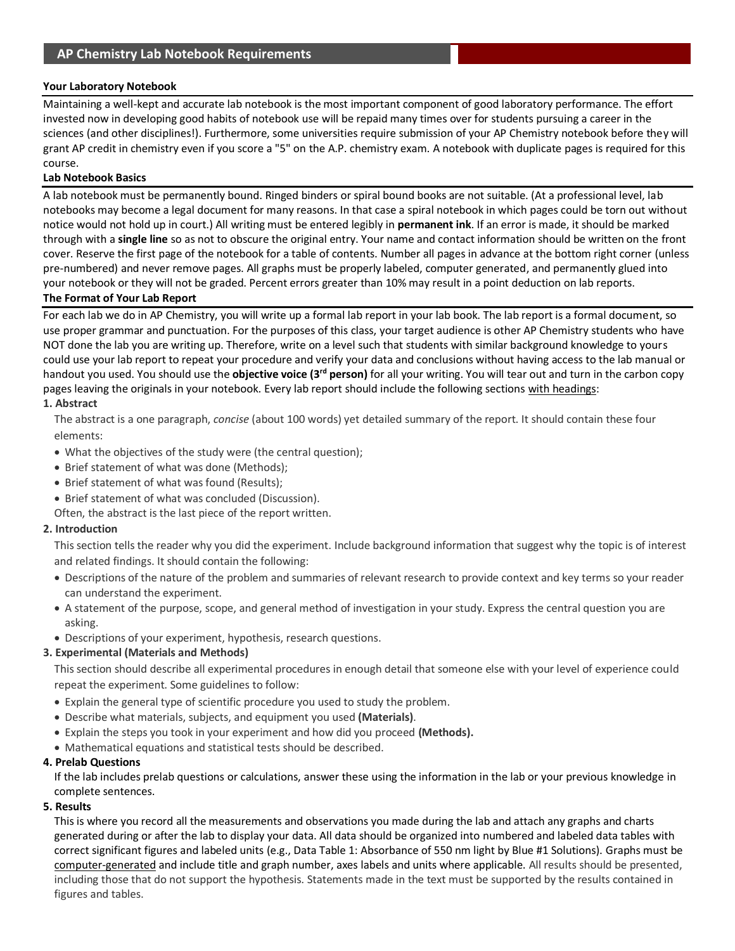## **Your Laboratory Notebook**

Maintaining a well-kept and accurate lab notebook is the most important component of good laboratory performance. The effort invested now in developing good habits of notebook use will be repaid many times over for students pursuing a career in the sciences (and other disciplines!). Furthermore, some universities require submission of your AP Chemistry notebook before they will grant AP credit in chemistry even if you score a "5" on the A.P. chemistry exam. A notebook with duplicate pages is required for this course.

## **Lab Notebook Basics**

A lab notebook must be permanently bound. Ringed binders or spiral bound books are not suitable. (At a professional level, lab notebooks may become a legal document for many reasons. In that case a spiral notebook in which pages could be torn out without notice would not hold up in court.) All writing must be entered legibly in **permanent ink**. If an error is made, it should be marked through with a **single line** so as not to obscure the original entry. Your name and contact information should be written on the front cover. Reserve the first page of the notebook for a table of contents. Number all pages in advance at the bottom right corner (unless pre-numbered) and never remove pages. All graphs must be properly labeled, computer generated, and permanently glued into your notebook or they will not be graded. Percent errors greater than 10% may result in a point deduction on lab reports. **The Format of Your Lab Report** 

For each lab we do in AP Chemistry, you will write up a formal lab report in your lab book. The lab report is a formal document, so use proper grammar and punctuation. For the purposes of this class, your target audience is other AP Chemistry students who have NOT done the lab you are writing up. Therefore, write on a level such that students with similar background knowledge to yours could use your lab report to repeat your procedure and verify your data and conclusions without having access to the lab manual or handout you used. You should use the **objective voice (3rd person)** for all your writing. You will tear out and turn in the carbon copy pages leaving the originals in your notebook. Every lab report should include the following sections with headings:

#### **1. Abstract**

The abstract is a one paragraph, *concise* (about 100 words) yet detailed summary of the report. It should contain these four elements:

- What the objectives of the study were (the central question);
- Brief statement of what was done (Methods);
- Brief statement of what was found (Results);
- Brief statement of what was concluded (Discussion).
- Often, the abstract is the last piece of the report written.

#### **2. Introduction**

This section tells the reader why you did the experiment. Include background information that suggest why the topic is of interest and related findings. It should contain the following:

- Descriptions of the nature of the problem and summaries of relevant research to provide context and key terms so your reader can understand the experiment.
- A statement of the purpose, scope, and general method of investigation in your study. Express the central question you are asking.
- Descriptions of your experiment, hypothesis, research questions.

## **3. Experimental (Materials and Methods)**

This section should describe all experimental procedures in enough detail that someone else with your level of experience could repeat the experiment. Some guidelines to follow:

- Explain the general type of scientific procedure you used to study the problem.
- Describe what materials, subjects, and equipment you used **(Materials)**.
- Explain the steps you took in your experiment and how did you proceed **(Methods).**
- Mathematical equations and statistical tests should be described.

## **4. Prelab Questions**

If the lab includes prelab questions or calculations, answer these using the information in the lab or your previous knowledge in complete sentences.

#### **5. Results**

This is where you record all the measurements and observations you made during the lab and attach any graphs and charts generated during or after the lab to display your data. All data should be organized into numbered and labeled data tables with correct significant figures and labeled units (e.g., Data Table 1: Absorbance of 550 nm light by Blue #1 Solutions). Graphs must be computer-generated and include title and graph number, axes labels and units where applicable. All results should be presented, including those that do not support the hypothesis. Statements made in the text must be supported by the results contained in figures and tables.